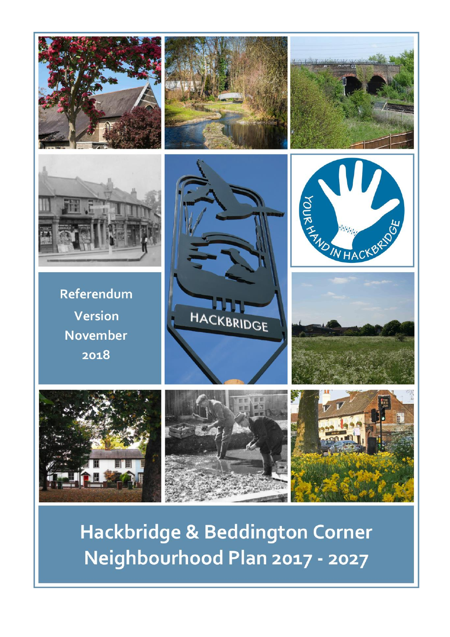



Referendum Version **November** 2018















Hackbridge & Beddington Corner Neighbourhood Plan 2017 - 2027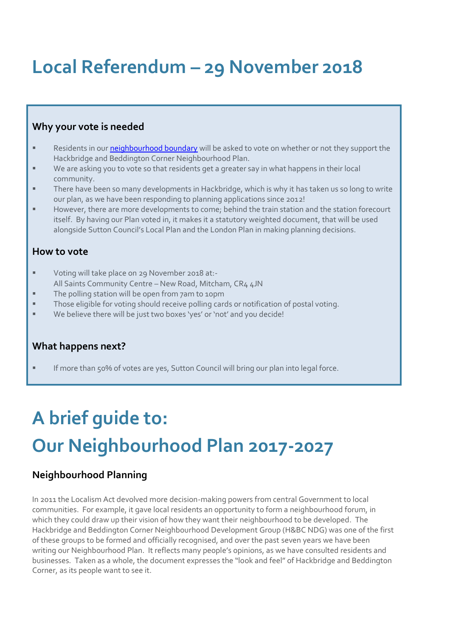## **Local Referendum – 29 November 2018**

### **Why your vote is needed**

- Residents in our **neighbourhood boundary** will be asked to vote on whether or not they support the Hackbridge and Beddington Corner Neighbourhood Plan.
- We are asking you to vote so that residents get a greater say in what happens in their local community.
- There have been so many developments in Hackbridge, which is why it has taken us so long to write our plan, as we have been responding to planning applications since 2012!
- However, there are more developments to come; behind the train station and the station forecourt itself. By having our Plan voted in, it makes it a statutory weighted document, that will be used alongside Sutton Council's Local Plan and the London Plan in making planning decisions.

## **How to vote**

- Voting will take place on 29 November 2018 at:-All Saints Community Centre – New Road, Mitcham, CR4 4JN
- **The polling station will be open from 7am to 10pm**
- Those eligible for voting should receive polling cards or notification of postal voting.
- We believe there will be just two boxes 'yes' or 'not' and you decide!

## **What happens next?**

If more than 50% of votes are yes, Sutton Council will bring our plan into legal force.

# **A brief guide to: Our Neighbourhood Plan 2017-2027**

## **Neighbourhood Planning**

In 2011 the Localism Act devolved more decision-making powers from central Government to local communities. For example, it gave local residents an opportunity to form a neighbourhood forum, in which they could draw up their vision of how they want their neighbourhood to be developed. The Hackbridge and Beddington Corner Neighbourhood Development Group (H&BC NDG) was one of the first of these groups to be formed and officially recognised, and over the past seven years we have been writing our Neighbourhood Plan. It reflects many people's opinions, as we have consulted residents and businesses. Taken as a whole, the document expresses the "look and feel" of Hackbridge and Beddington Corner, as its people want to see it.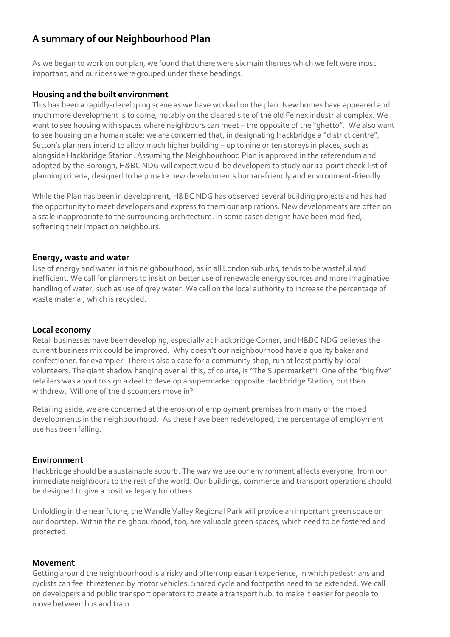## **A summary of our Neighbourhood Plan**

As we began to work on our plan, we found that there were six main themes which we felt were most important, and our ideas were grouped under these headings.

#### **Housing and the built environment**

This has been a rapidly-developing scene as we have worked on the plan. New homes have appeared and much more development is to come, notably on the cleared site of the old Felnex industrial complex. We want to see housing with spaces where neighbours can meet – the opposite of the "ghetto". We also want to see housing on a human scale: we are concerned that, in designating Hackbridge a "district centre", Sutton's planners intend to allow much higher building – up to nine or ten storeys in places, such as alongside Hackbridge Station. Assuming the Neighbourhood Plan is approved in the referendum and adopted by the Borough, H&BC NDG will expect would-be developers to study our 12-point check-list of planning criteria, designed to help make new developments human-friendly and environment-friendly.

While the Plan has been in development, H&BC NDG has observed several building projects and has had the opportunity to meet developers and express to them our aspirations. New developments are often on a scale inappropriate to the surrounding architecture. In some cases designs have been modified, softening their impact on neighbours.

#### **Energy, waste and water**

Use of energy and water in this neighbourhood, as in all London suburbs, tends to be wasteful and inefficient. We call for planners to insist on better use of renewable energy sources and more imaginative handling of water, such as use of grey water. We call on the local authority to increase the percentage of waste material, which is recycled.

#### **Local economy**

Retail businesses have been developing, especially at Hackbridge Corner, and H&BC NDG believes the current business mix could be improved. Why doesn't our neighbourhood have a quality baker and confectioner, for example? There is also a case for a community shop, run at least partly by local volunteers. The giant shadow hanging over all this, of course, is "The Supermarket"! One of the "big five" retailers was about to sign a deal to develop a supermarket opposite Hackbridge Station, but then withdrew. Will one of the discounters move in?

Retailing aside, we are concerned at the erosion of employment premises from many of the mixed developments in the neighbourhood. As these have been redeveloped, the percentage of employment use has been falling.

#### **Environment**

Hackbridge should be a sustainable suburb. The way we use our environment affects everyone, from our immediate neighbours to the rest of the world. Our buildings, commerce and transport operations should be designed to give a positive legacy for others.

Unfolding in the near future, the Wandle Valley Regional Park will provide an important green space on our doorstep. Within the neighbourhood, too, are valuable green spaces, which need to be fostered and protected.

#### **Movement**

Getting around the neighbourhood is a risky and often unpleasant experience, in which pedestrians and cyclists can feel threatened by motor vehicles. Shared cycle and footpaths need to be extended. We call on developers and public transport operators to create a transport hub, to make it easier for people to move between bus and train.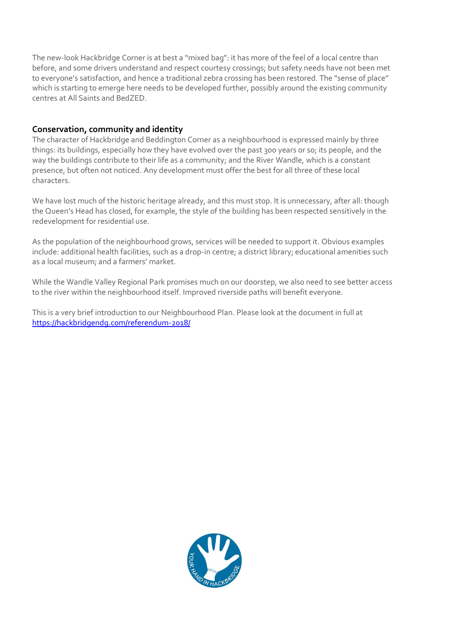The new-look Hackbridge Corner is at best a "mixed bag": it has more of the feel of a local centre than before, and some drivers understand and respect courtesy crossings; but safety needs have not been met to everyone's satisfaction, and hence a traditional zebra crossing has been restored. The "sense of place" which is starting to emerge here needs to be developed further, possibly around the existing community centres at All Saints and BedZED.

#### **Conservation, community and identity**

The character of Hackbridge and Beddington Corner as a neighbourhood is expressed mainly by three things: its buildings, especially how they have evolved over the past 300 years or so; its people, and the way the buildings contribute to their life as a community; and the River Wandle, which is a constant presence, but often not noticed. Any development must offer the best for all three of these local characters.

We have lost much of the historic heritage already, and this must stop. It is unnecessary, after all: though the Queen's Head has closed, for example, the style of the building has been respected sensitively in the redevelopment for residential use.

As the population of the neighbourhood grows, services will be needed to support it. Obvious examples include: additional health facilities, such as a drop-in centre; a district library; educational amenities such as a local museum; and a farmers' market.

While the Wandle Valley Regional Park promises much on our doorstep, we also need to see better access to the river within the neighbourhood itself. Improved riverside paths will benefit everyone.

This is a very brief introduction to our Neighbourhood Plan. Please look at the document in full at <https://hackbridgendg.com/referendum-2018/>